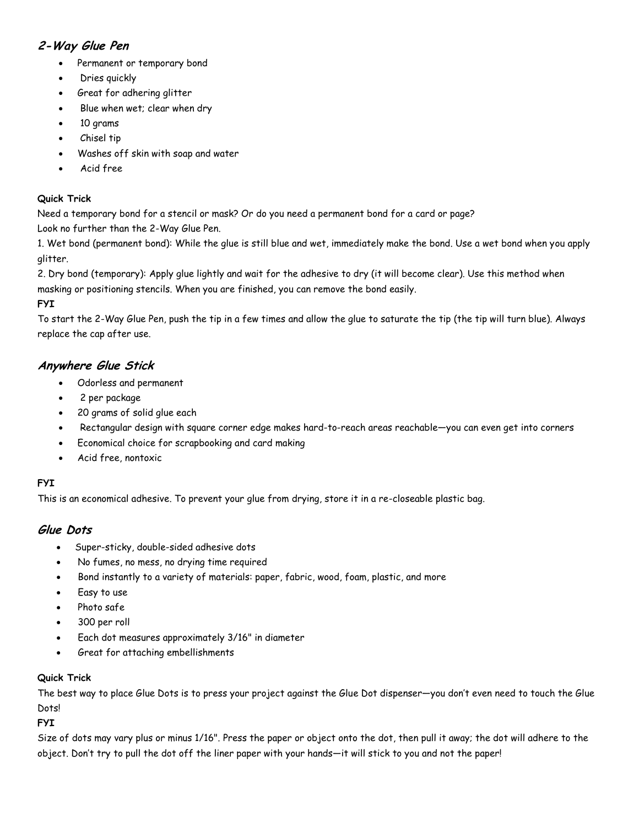# **2-Way Glue Pen**

- Permanent or temporary bond
- Dries quickly
- Great for adhering glitter
- Blue when wet; clear when dry
- 10 grams
- Chisel tip
- Washes off skin with soap and water
- Acid free

### **Quick Trick**

Need a temporary bond for a stencil or mask? Or do you need a permanent bond for a card or page?

Look no further than the 2-Way Glue Pen.

1. Wet bond (permanent bond): While the glue is still blue and wet, immediately make the bond. Use a wet bond when you apply glitter.

2. Dry bond (temporary): Apply glue lightly and wait for the adhesive to dry (it will become clear). Use this method when masking or positioning stencils. When you are finished, you can remove the bond easily.

### **FYI**

To start the 2-Way Glue Pen, push the tip in a few times and allow the glue to saturate the tip (the tip will turn blue). Always replace the cap after use.

## **Anywhere Glue Stick**

- Odorless and permanent
- 2 per package
- 20 grams of solid glue each
- Rectangular design with square corner edge makes hard-to-reach areas reachable—you can even get into corners
- Economical choice for scrapbooking and card making
- Acid free, nontoxic

## **FYI**

This is an economical adhesive. To prevent your glue from drying, store it in a re-closeable plastic bag.

## **Glue Dots**

- Super-sticky, double-sided adhesive dots
- No fumes, no mess, no drying time required
- Bond instantly to a variety of materials: paper, fabric, wood, foam, plastic, and more
- Easy to use
- Photo safe
- 300 per roll
- Each dot measures approximately 3/16" in diameter
- Great for attaching embellishments

#### **Quick Trick**

The best way to place Glue Dots is to press your project against the Glue Dot dispenser—you don't even need to touch the Glue Dots!

**FYI**

Size of dots may vary plus or minus 1/16". Press the paper or object onto the dot, then pull it away; the dot will adhere to the object. Don't try to pull the dot off the liner paper with your hands—it will stick to you and not the paper!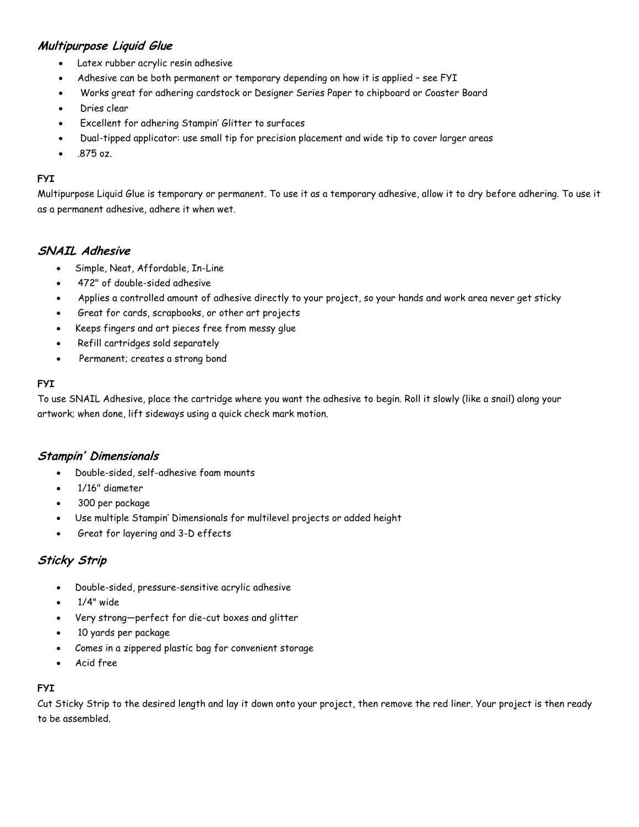## **Multipurpose Liquid Glue**

- Latex rubber acrylic resin adhesive
- Adhesive can be both permanent or temporary depending on how it is applied see FYI
- Works great for adhering cardstock or Designer Series Paper to chipboard or Coaster Board
- Dries clear
- Excellent for adhering Stampin' Glitter to surfaces
- Dual-tipped applicator: use small tip for precision placement and wide tip to cover larger areas
- .875 oz.

#### **FYI**

Multipurpose Liquid Glue is temporary or permanent. To use it as a temporary adhesive, allow it to dry before adhering. To use it as a permanent adhesive, adhere it when wet.

### **SNAIL Adhesive**

- Simple, Neat, Affordable, In-Line
- 472" of double-sided adhesive
- Applies a controlled amount of adhesive directly to your project, so your hands and work area never get sticky
- Great for cards, scrapbooks, or other art projects
- Keeps fingers and art pieces free from messy glue
- Refill cartridges sold separately
- Permanent; creates a strong bond

#### **FYI**

To use SNAIL Adhesive, place the cartridge where you want the adhesive to begin. Roll it slowly (like a snail) along your artwork; when done, lift sideways using a quick check mark motion.

#### **Stampin' Dimensionals**

- Double-sided, self-adhesive foam mounts
- 1/16" diameter
- 300 per package
- Use multiple Stampin' Dimensionals for multilevel projects or added height
- Great for layering and 3-D effects

## **Sticky Strip**

- Double-sided, pressure-sensitive acrylic adhesive
- 1/4" wide
- Very strong—perfect for die-cut boxes and glitter
- 10 yards per package
- Comes in a zippered plastic bag for convenient storage
- Acid free

#### **FYI**

Cut Sticky Strip to the desired length and lay it down onto your project, then remove the red liner. Your project is then ready to be assembled.